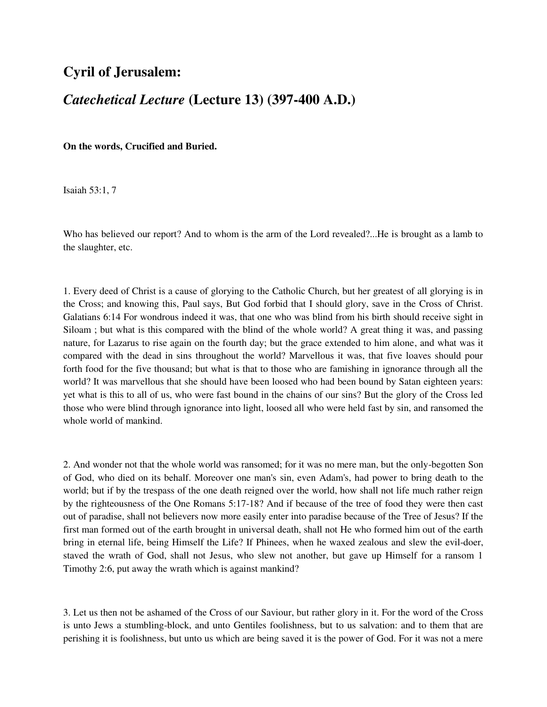## **Cyril of Jerusalem:**

## *Catechetical Lecture* **(Lecture 13) (397-400 A.D.)**

**On the words, Crucified and Buried.** 

Isaiah 53:1, 7

Who has believed our report? And to whom is the arm of the Lord revealed?...He is brought as a lamb to the slaughter, etc.

1. Every deed of Christ is a cause of glorying to the Catholic Church, but her greatest of all glorying is in the Cross; and knowing this, Paul says, But God forbid that I should glory, save in the Cross of Christ. Galatians 6:14 For wondrous indeed it was, that one who was blind from his birth should receive sight in Siloam ; but what is this compared with the blind of the whole world? A great thing it was, and passing nature, for Lazarus to rise again on the fourth day; but the grace extended to him alone, and what was it compared with the dead in sins throughout the world? Marvellous it was, that five loaves should pour forth food for the five thousand; but what is that to those who are famishing in ignorance through all the world? It was marvellous that she should have been loosed who had been bound by Satan eighteen years: yet what is this to all of us, who were fast bound in the chains of our sins? But the glory of the Cross led those who were blind through ignorance into light, loosed all who were held fast by sin, and ransomed the whole world of mankind.

2. And wonder not that the whole world was ransomed; for it was no mere man, but the only-begotten Son of God, who died on its behalf. Moreover one man's sin, even Adam's, had power to bring death to the world; but if by the trespass of the one death reigned over the world, how shall not life much rather reign by the righteousness of the One Romans 5:17-18? And if because of the tree of food they were then cast out of paradise, shall not believers now more easily enter into paradise because of the Tree of Jesus? If the first man formed out of the earth brought in universal death, shall not He who formed him out of the earth bring in eternal life, being Himself the Life? If Phinees, when he waxed zealous and slew the evil-doer, staved the wrath of God, shall not Jesus, who slew not another, but gave up Himself for a ransom 1 Timothy 2:6, put away the wrath which is against mankind?

3. Let us then not be ashamed of the Cross of our Saviour, but rather glory in it. For the word of the Cross is unto Jews a stumbling-block, and unto Gentiles foolishness, but to us salvation: and to them that are perishing it is foolishness, but unto us which are being saved it is the power of God. For it was not a mere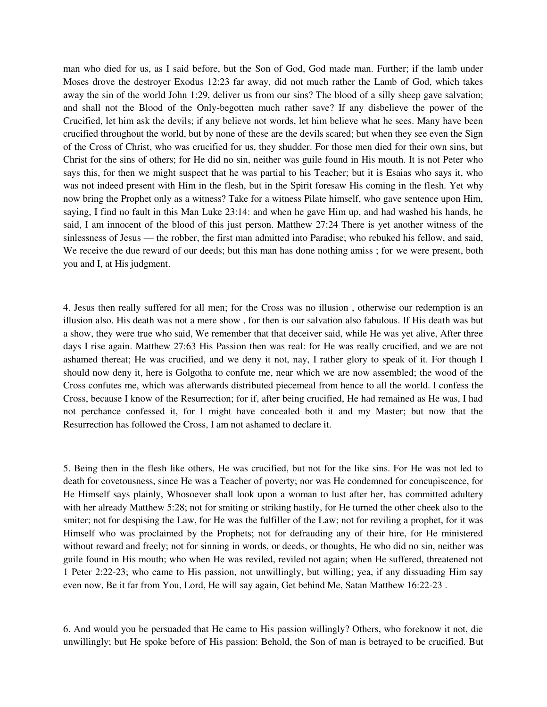man who died for us, as I said before, but the Son of God, God made man. Further; if the lamb under Moses drove the destroyer Exodus 12:23 far away, did not much rather the Lamb of God, which takes away the sin of the world John 1:29, deliver us from our sins? The blood of a silly sheep gave salvation; and shall not the Blood of the Only-begotten much rather save? If any disbelieve the power of the Crucified, let him ask the devils; if any believe not words, let him believe what he sees. Many have been crucified throughout the world, but by none of these are the devils scared; but when they see even the Sign of the Cross of Christ, who was crucified for us, they shudder. For those men died for their own sins, but Christ for the sins of others; for He did no sin, neither was guile found in His mouth. It is not Peter who says this, for then we might suspect that he was partial to his Teacher; but it is Esaias who says it, who was not indeed present with Him in the flesh, but in the Spirit foresaw His coming in the flesh. Yet why now bring the Prophet only as a witness? Take for a witness Pilate himself, who gave sentence upon Him, saying, I find no fault in this Man Luke 23:14: and when he gave Him up, and had washed his hands, he said, I am innocent of the blood of this just person. Matthew 27:24 There is yet another witness of the sinlessness of Jesus — the robber, the first man admitted into Paradise; who rebuked his fellow, and said, We receive the due reward of our deeds; but this man has done nothing amiss; for we were present, both you and I, at His judgment.

4. Jesus then really suffered for all men; for the Cross was no illusion , otherwise our redemption is an illusion also. His death was not a mere show , for then is our salvation also fabulous. If His death was but a show, they were true who said, We remember that that deceiver said, while He was yet alive, After three days I rise again. Matthew 27:63 His Passion then was real: for He was really crucified, and we are not ashamed thereat; He was crucified, and we deny it not, nay, I rather glory to speak of it. For though I should now deny it, here is Golgotha to confute me, near which we are now assembled; the wood of the Cross confutes me, which was afterwards distributed piecemeal from hence to all the world. I confess the Cross, because I know of the Resurrection; for if, after being crucified, He had remained as He was, I had not perchance confessed it, for I might have concealed both it and my Master; but now that the Resurrection has followed the Cross, I am not ashamed to declare it.

5. Being then in the flesh like others, He was crucified, but not for the like sins. For He was not led to death for covetousness, since He was a Teacher of poverty; nor was He condemned for concupiscence, for He Himself says plainly, Whosoever shall look upon a woman to lust after her, has committed adultery with her already Matthew 5:28; not for smiting or striking hastily, for He turned the other cheek also to the smiter; not for despising the Law, for He was the fulfiller of the Law; not for reviling a prophet, for it was Himself who was proclaimed by the Prophets; not for defrauding any of their hire, for He ministered without reward and freely; not for sinning in words, or deeds, or thoughts, He who did no sin, neither was guile found in His mouth; who when He was reviled, reviled not again; when He suffered, threatened not 1 Peter 2:22-23; who came to His passion, not unwillingly, but willing; yea, if any dissuading Him say even now, Be it far from You, Lord, He will say again, Get behind Me, Satan Matthew 16:22-23 .

6. And would you be persuaded that He came to His passion willingly? Others, who foreknow it not, die unwillingly; but He spoke before of His passion: Behold, the Son of man is betrayed to be crucified. But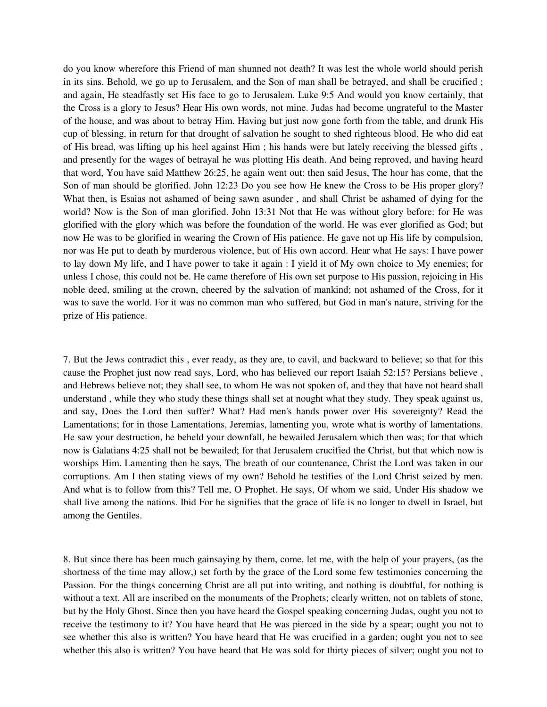do you know wherefore this Friend of man shunned not death? It was lest the whole world should perish in its sins. Behold, we go up to Jerusalem, and the Son of man shall be betrayed, and shall be crucified ; and again, He steadfastly set His face to go to Jerusalem. Luke 9:5 And would you know certainly, that the Cross is a glory to Jesus? Hear His own words, not mine. Judas had become ungrateful to the Master of the house, and was about to betray Him. Having but just now gone forth from the table, and drunk His cup of blessing, in return for that drought of salvation he sought to shed righteous blood. He who did eat of His bread, was lifting up his heel against Him ; his hands were but lately receiving the blessed gifts , and presently for the wages of betrayal he was plotting His death. And being reproved, and having heard that word, You have said Matthew 26:25, he again went out: then said Jesus, The hour has come, that the Son of man should be glorified. John 12:23 Do you see how He knew the Cross to be His proper glory? What then, is Esaias not ashamed of being sawn asunder , and shall Christ be ashamed of dying for the world? Now is the Son of man glorified. John 13:31 Not that He was without glory before: for He was glorified with the glory which was before the foundation of the world. He was ever glorified as God; but now He was to be glorified in wearing the Crown of His patience. He gave not up His life by compulsion, nor was He put to death by murderous violence, but of His own accord. Hear what He says: I have power to lay down My life, and I have power to take it again : I yield it of My own choice to My enemies; for unless I chose, this could not be. He came therefore of His own set purpose to His passion, rejoicing in His noble deed, smiling at the crown, cheered by the salvation of mankind; not ashamed of the Cross, for it was to save the world. For it was no common man who suffered, but God in man's nature, striving for the prize of His patience.

7. But the Jews contradict this , ever ready, as they are, to cavil, and backward to believe; so that for this cause the Prophet just now read says, Lord, who has believed our report Isaiah 52:15? Persians believe , and Hebrews believe not; they shall see, to whom He was not spoken of, and they that have not heard shall understand , while they who study these things shall set at nought what they study. They speak against us, and say, Does the Lord then suffer? What? Had men's hands power over His sovereignty? Read the Lamentations; for in those Lamentations, Jeremias, lamenting you, wrote what is worthy of lamentations. He saw your destruction, he beheld your downfall, he bewailed Jerusalem which then was; for that which now is Galatians 4:25 shall not be bewailed; for that Jerusalem crucified the Christ, but that which now is worships Him. Lamenting then he says, The breath of our countenance, Christ the Lord was taken in our corruptions. Am I then stating views of my own? Behold he testifies of the Lord Christ seized by men. And what is to follow from this? Tell me, O Prophet. He says, Of whom we said, Under His shadow we shall live among the nations. Ibid For he signifies that the grace of life is no longer to dwell in Israel, but among the Gentiles.

8. But since there has been much gainsaying by them, come, let me, with the help of your prayers, (as the shortness of the time may allow,) set forth by the grace of the Lord some few testimonies concerning the Passion. For the things concerning Christ are all put into writing, and nothing is doubtful, for nothing is without a text. All are inscribed on the monuments of the Prophets; clearly written, not on tablets of stone, but by the Holy Ghost. Since then you have heard the Gospel speaking concerning Judas, ought you not to receive the testimony to it? You have heard that He was pierced in the side by a spear; ought you not to see whether this also is written? You have heard that He was crucified in a garden; ought you not to see whether this also is written? You have heard that He was sold for thirty pieces of silver; ought you not to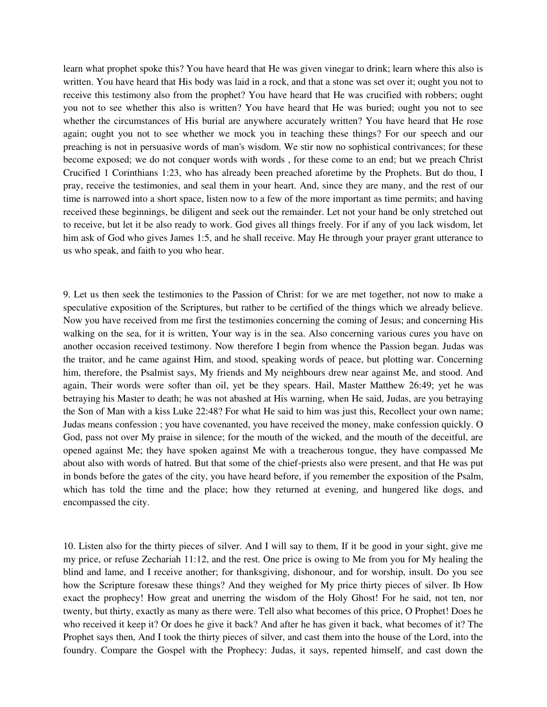learn what prophet spoke this? You have heard that He was given vinegar to drink; learn where this also is written. You have heard that His body was laid in a rock, and that a stone was set over it; ought you not to receive this testimony also from the prophet? You have heard that He was crucified with robbers; ought you not to see whether this also is written? You have heard that He was buried; ought you not to see whether the circumstances of His burial are anywhere accurately written? You have heard that He rose again; ought you not to see whether we mock you in teaching these things? For our speech and our preaching is not in persuasive words of man's wisdom. We stir now no sophistical contrivances; for these become exposed; we do not conquer words with words , for these come to an end; but we preach Christ Crucified 1 Corinthians 1:23, who has already been preached aforetime by the Prophets. But do thou, I pray, receive the testimonies, and seal them in your heart. And, since they are many, and the rest of our time is narrowed into a short space, listen now to a few of the more important as time permits; and having received these beginnings, be diligent and seek out the remainder. Let not your hand be only stretched out to receive, but let it be also ready to work. God gives all things freely. For if any of you lack wisdom, let him ask of God who gives James 1:5, and he shall receive. May He through your prayer grant utterance to us who speak, and faith to you who hear.

9. Let us then seek the testimonies to the Passion of Christ: for we are met together, not now to make a speculative exposition of the Scriptures, but rather to be certified of the things which we already believe. Now you have received from me first the testimonies concerning the coming of Jesus; and concerning His walking on the sea, for it is written, Your way is in the sea. Also concerning various cures you have on another occasion received testimony. Now therefore I begin from whence the Passion began. Judas was the traitor, and he came against Him, and stood, speaking words of peace, but plotting war. Concerning him, therefore, the Psalmist says, My friends and My neighbours drew near against Me, and stood. And again, Their words were softer than oil, yet be they spears. Hail, Master Matthew 26:49; yet he was betraying his Master to death; he was not abashed at His warning, when He said, Judas, are you betraying the Son of Man with a kiss Luke 22:48? For what He said to him was just this, Recollect your own name; Judas means confession ; you have covenanted, you have received the money, make confession quickly. O God, pass not over My praise in silence; for the mouth of the wicked, and the mouth of the deceitful, are opened against Me; they have spoken against Me with a treacherous tongue, they have compassed Me about also with words of hatred. But that some of the chief-priests also were present, and that He was put in bonds before the gates of the city, you have heard before, if you remember the exposition of the Psalm, which has told the time and the place; how they returned at evening, and hungered like dogs, and encompassed the city.

10. Listen also for the thirty pieces of silver. And I will say to them, If it be good in your sight, give me my price, or refuse Zechariah 11:12, and the rest. One price is owing to Me from you for My healing the blind and lame, and I receive another; for thanksgiving, dishonour, and for worship, insult. Do you see how the Scripture foresaw these things? And they weighed for My price thirty pieces of silver. Ib How exact the prophecy! How great and unerring the wisdom of the Holy Ghost! For he said, not ten, nor twenty, but thirty, exactly as many as there were. Tell also what becomes of this price, O Prophet! Does he who received it keep it? Or does he give it back? And after he has given it back, what becomes of it? The Prophet says then, And I took the thirty pieces of silver, and cast them into the house of the Lord, into the foundry. Compare the Gospel with the Prophecy: Judas, it says, repented himself, and cast down the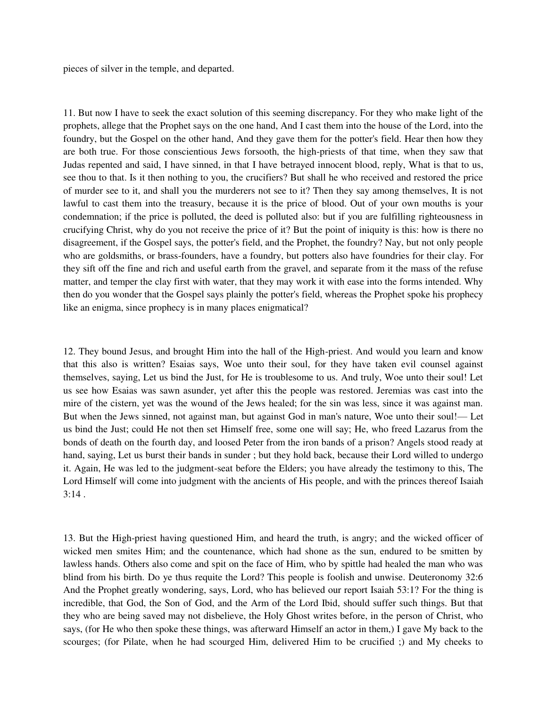pieces of silver in the temple, and departed.

11. But now I have to seek the exact solution of this seeming discrepancy. For they who make light of the prophets, allege that the Prophet says on the one hand, And I cast them into the house of the Lord, into the foundry, but the Gospel on the other hand, And they gave them for the potter's field. Hear then how they are both true. For those conscientious Jews forsooth, the high-priests of that time, when they saw that Judas repented and said, I have sinned, in that I have betrayed innocent blood, reply, What is that to us, see thou to that. Is it then nothing to you, the crucifiers? But shall he who received and restored the price of murder see to it, and shall you the murderers not see to it? Then they say among themselves, It is not lawful to cast them into the treasury, because it is the price of blood. Out of your own mouths is your condemnation; if the price is polluted, the deed is polluted also: but if you are fulfilling righteousness in crucifying Christ, why do you not receive the price of it? But the point of iniquity is this: how is there no disagreement, if the Gospel says, the potter's field, and the Prophet, the foundry? Nay, but not only people who are goldsmiths, or brass-founders, have a foundry, but potters also have foundries for their clay. For they sift off the fine and rich and useful earth from the gravel, and separate from it the mass of the refuse matter, and temper the clay first with water, that they may work it with ease into the forms intended. Why then do you wonder that the Gospel says plainly the potter's field, whereas the Prophet spoke his prophecy like an enigma, since prophecy is in many places enigmatical?

12. They bound Jesus, and brought Him into the hall of the High-priest. And would you learn and know that this also is written? Esaias says, Woe unto their soul, for they have taken evil counsel against themselves, saying, Let us bind the Just, for He is troublesome to us. And truly, Woe unto their soul! Let us see how Esaias was sawn asunder, yet after this the people was restored. Jeremias was cast into the mire of the cistern, yet was the wound of the Jews healed; for the sin was less, since it was against man. But when the Jews sinned, not against man, but against God in man's nature, Woe unto their soul!— Let us bind the Just; could He not then set Himself free, some one will say; He, who freed Lazarus from the bonds of death on the fourth day, and loosed Peter from the iron bands of a prison? Angels stood ready at hand, saying, Let us burst their bands in sunder ; but they hold back, because their Lord willed to undergo it. Again, He was led to the judgment-seat before the Elders; you have already the testimony to this, The Lord Himself will come into judgment with the ancients of His people, and with the princes thereof Isaiah  $3:14$ .

13. But the High-priest having questioned Him, and heard the truth, is angry; and the wicked officer of wicked men smites Him; and the countenance, which had shone as the sun, endured to be smitten by lawless hands. Others also come and spit on the face of Him, who by spittle had healed the man who was blind from his birth. Do ye thus requite the Lord? This people is foolish and unwise. Deuteronomy 32:6 And the Prophet greatly wondering, says, Lord, who has believed our report Isaiah 53:1? For the thing is incredible, that God, the Son of God, and the Arm of the Lord Ibid, should suffer such things. But that they who are being saved may not disbelieve, the Holy Ghost writes before, in the person of Christ, who says, (for He who then spoke these things, was afterward Himself an actor in them,) I gave My back to the scourges; (for Pilate, when he had scourged Him, delivered Him to be crucified ;) and My cheeks to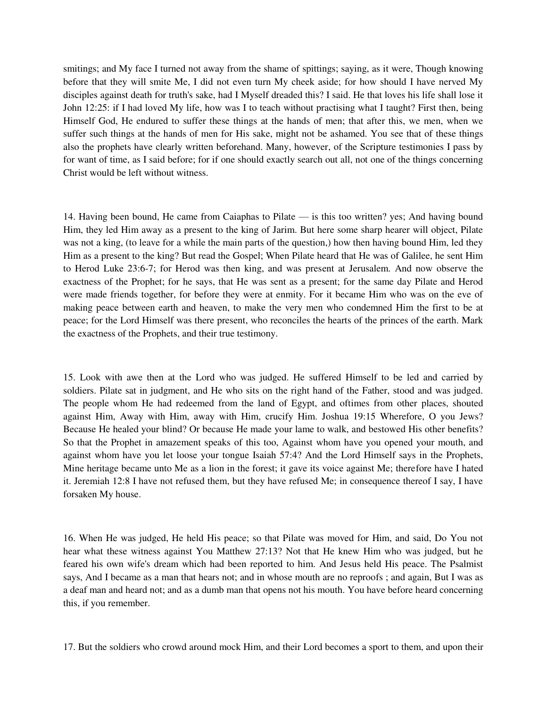smitings; and My face I turned not away from the shame of spittings; saying, as it were, Though knowing before that they will smite Me, I did not even turn My cheek aside; for how should I have nerved My disciples against death for truth's sake, had I Myself dreaded this? I said. He that loves his life shall lose it John 12:25: if I had loved My life, how was I to teach without practising what I taught? First then, being Himself God, He endured to suffer these things at the hands of men; that after this, we men, when we suffer such things at the hands of men for His sake, might not be ashamed. You see that of these things also the prophets have clearly written beforehand. Many, however, of the Scripture testimonies I pass by for want of time, as I said before; for if one should exactly search out all, not one of the things concerning Christ would be left without witness.

14. Having been bound, He came from Caiaphas to Pilate — is this too written? yes; And having bound Him, they led Him away as a present to the king of Jarim. But here some sharp hearer will object, Pilate was not a king, (to leave for a while the main parts of the question,) how then having bound Him, led they Him as a present to the king? But read the Gospel; When Pilate heard that He was of Galilee, he sent Him to Herod Luke 23:6-7; for Herod was then king, and was present at Jerusalem. And now observe the exactness of the Prophet; for he says, that He was sent as a present; for the same day Pilate and Herod were made friends together, for before they were at enmity. For it became Him who was on the eve of making peace between earth and heaven, to make the very men who condemned Him the first to be at peace; for the Lord Himself was there present, who reconciles the hearts of the princes of the earth. Mark the exactness of the Prophets, and their true testimony.

15. Look with awe then at the Lord who was judged. He suffered Himself to be led and carried by soldiers. Pilate sat in judgment, and He who sits on the right hand of the Father, stood and was judged. The people whom He had redeemed from the land of Egypt, and oftimes from other places, shouted against Him, Away with Him, away with Him, crucify Him. Joshua 19:15 Wherefore, O you Jews? Because He healed your blind? Or because He made your lame to walk, and bestowed His other benefits? So that the Prophet in amazement speaks of this too, Against whom have you opened your mouth, and against whom have you let loose your tongue Isaiah 57:4? And the Lord Himself says in the Prophets, Mine heritage became unto Me as a lion in the forest; it gave its voice against Me; therefore have I hated it. Jeremiah 12:8 I have not refused them, but they have refused Me; in consequence thereof I say, I have forsaken My house.

16. When He was judged, He held His peace; so that Pilate was moved for Him, and said, Do You not hear what these witness against You Matthew 27:13? Not that He knew Him who was judged, but he feared his own wife's dream which had been reported to him. And Jesus held His peace. The Psalmist says, And I became as a man that hears not; and in whose mouth are no reproofs ; and again, But I was as a deaf man and heard not; and as a dumb man that opens not his mouth. You have before heard concerning this, if you remember.

17. But the soldiers who crowd around mock Him, and their Lord becomes a sport to them, and upon their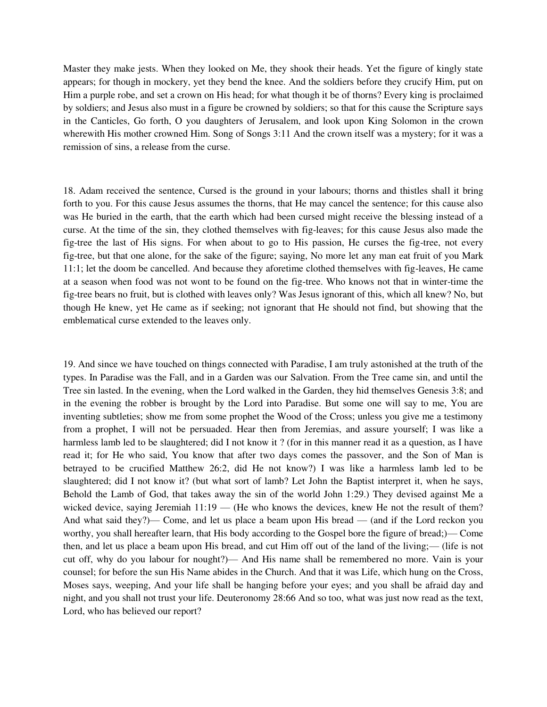Master they make jests. When they looked on Me, they shook their heads. Yet the figure of kingly state appears; for though in mockery, yet they bend the knee. And the soldiers before they crucify Him, put on Him a purple robe, and set a crown on His head; for what though it be of thorns? Every king is proclaimed by soldiers; and Jesus also must in a figure be crowned by soldiers; so that for this cause the Scripture says in the Canticles, Go forth, O you daughters of Jerusalem, and look upon King Solomon in the crown wherewith His mother crowned Him. Song of Songs 3:11 And the crown itself was a mystery; for it was a remission of sins, a release from the curse.

18. Adam received the sentence, Cursed is the ground in your labours; thorns and thistles shall it bring forth to you. For this cause Jesus assumes the thorns, that He may cancel the sentence; for this cause also was He buried in the earth, that the earth which had been cursed might receive the blessing instead of a curse. At the time of the sin, they clothed themselves with fig-leaves; for this cause Jesus also made the fig-tree the last of His signs. For when about to go to His passion, He curses the fig-tree, not every fig-tree, but that one alone, for the sake of the figure; saying, No more let any man eat fruit of you Mark 11:1; let the doom be cancelled. And because they aforetime clothed themselves with fig-leaves, He came at a season when food was not wont to be found on the fig-tree. Who knows not that in winter-time the fig-tree bears no fruit, but is clothed with leaves only? Was Jesus ignorant of this, which all knew? No, but though He knew, yet He came as if seeking; not ignorant that He should not find, but showing that the emblematical curse extended to the leaves only.

19. And since we have touched on things connected with Paradise, I am truly astonished at the truth of the types. In Paradise was the Fall, and in a Garden was our Salvation. From the Tree came sin, and until the Tree sin lasted. In the evening, when the Lord walked in the Garden, they hid themselves Genesis 3:8; and in the evening the robber is brought by the Lord into Paradise. But some one will say to me, You are inventing subtleties; show me from some prophet the Wood of the Cross; unless you give me a testimony from a prophet, I will not be persuaded. Hear then from Jeremias, and assure yourself; I was like a harmless lamb led to be slaughtered; did I not know it ? (for in this manner read it as a question, as I have read it; for He who said, You know that after two days comes the passover, and the Son of Man is betrayed to be crucified Matthew 26:2, did He not know?) I was like a harmless lamb led to be slaughtered; did I not know it? (but what sort of lamb? Let John the Baptist interpret it, when he says, Behold the Lamb of God, that takes away the sin of the world John 1:29.) They devised against Me a wicked device, saying Jeremiah  $11:19$  — (He who knows the devices, knew He not the result of them? And what said they?)— Come, and let us place a beam upon His bread — (and if the Lord reckon you worthy, you shall hereafter learn, that His body according to the Gospel bore the figure of bread;)— Come then, and let us place a beam upon His bread, and cut Him off out of the land of the living;— (life is not cut off, why do you labour for nought?)— And His name shall be remembered no more. Vain is your counsel; for before the sun His Name abides in the Church. And that it was Life, which hung on the Cross, Moses says, weeping, And your life shall be hanging before your eyes; and you shall be afraid day and night, and you shall not trust your life. Deuteronomy 28:66 And so too, what was just now read as the text, Lord, who has believed our report?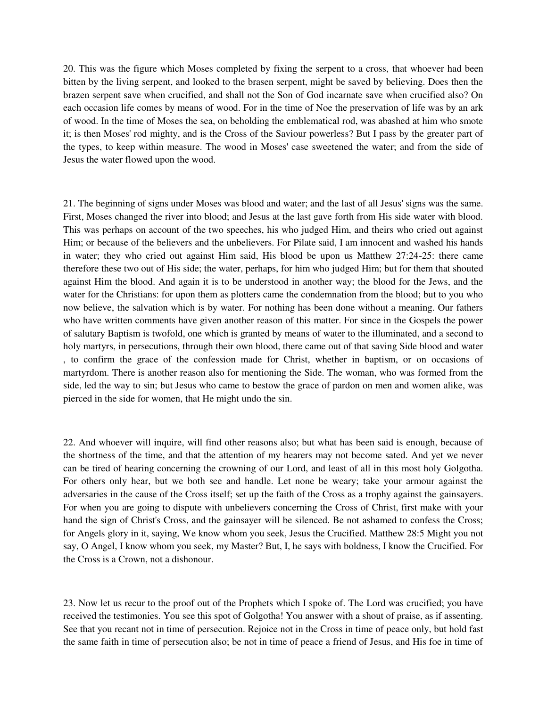20. This was the figure which Moses completed by fixing the serpent to a cross, that whoever had been bitten by the living serpent, and looked to the brasen serpent, might be saved by believing. Does then the brazen serpent save when crucified, and shall not the Son of God incarnate save when crucified also? On each occasion life comes by means of wood. For in the time of Noe the preservation of life was by an ark of wood. In the time of Moses the sea, on beholding the emblematical rod, was abashed at him who smote it; is then Moses' rod mighty, and is the Cross of the Saviour powerless? But I pass by the greater part of the types, to keep within measure. The wood in Moses' case sweetened the water; and from the side of Jesus the water flowed upon the wood.

21. The beginning of signs under Moses was blood and water; and the last of all Jesus' signs was the same. First, Moses changed the river into blood; and Jesus at the last gave forth from His side water with blood. This was perhaps on account of the two speeches, his who judged Him, and theirs who cried out against Him; or because of the believers and the unbelievers. For Pilate said, I am innocent and washed his hands in water; they who cried out against Him said, His blood be upon us Matthew 27:24-25: there came therefore these two out of His side; the water, perhaps, for him who judged Him; but for them that shouted against Him the blood. And again it is to be understood in another way; the blood for the Jews, and the water for the Christians: for upon them as plotters came the condemnation from the blood; but to you who now believe, the salvation which is by water. For nothing has been done without a meaning. Our fathers who have written comments have given another reason of this matter. For since in the Gospels the power of salutary Baptism is twofold, one which is granted by means of water to the illuminated, and a second to holy martyrs, in persecutions, through their own blood, there came out of that saving Side blood and water , to confirm the grace of the confession made for Christ, whether in baptism, or on occasions of martyrdom. There is another reason also for mentioning the Side. The woman, who was formed from the side, led the way to sin; but Jesus who came to bestow the grace of pardon on men and women alike, was pierced in the side for women, that He might undo the sin.

22. And whoever will inquire, will find other reasons also; but what has been said is enough, because of the shortness of the time, and that the attention of my hearers may not become sated. And yet we never can be tired of hearing concerning the crowning of our Lord, and least of all in this most holy Golgotha. For others only hear, but we both see and handle. Let none be weary; take your armour against the adversaries in the cause of the Cross itself; set up the faith of the Cross as a trophy against the gainsayers. For when you are going to dispute with unbelievers concerning the Cross of Christ, first make with your hand the sign of Christ's Cross, and the gainsayer will be silenced. Be not ashamed to confess the Cross; for Angels glory in it, saying, We know whom you seek, Jesus the Crucified. Matthew 28:5 Might you not say, O Angel, I know whom you seek, my Master? But, I, he says with boldness, I know the Crucified. For the Cross is a Crown, not a dishonour.

23. Now let us recur to the proof out of the Prophets which I spoke of. The Lord was crucified; you have received the testimonies. You see this spot of Golgotha! You answer with a shout of praise, as if assenting. See that you recant not in time of persecution. Rejoice not in the Cross in time of peace only, but hold fast the same faith in time of persecution also; be not in time of peace a friend of Jesus, and His foe in time of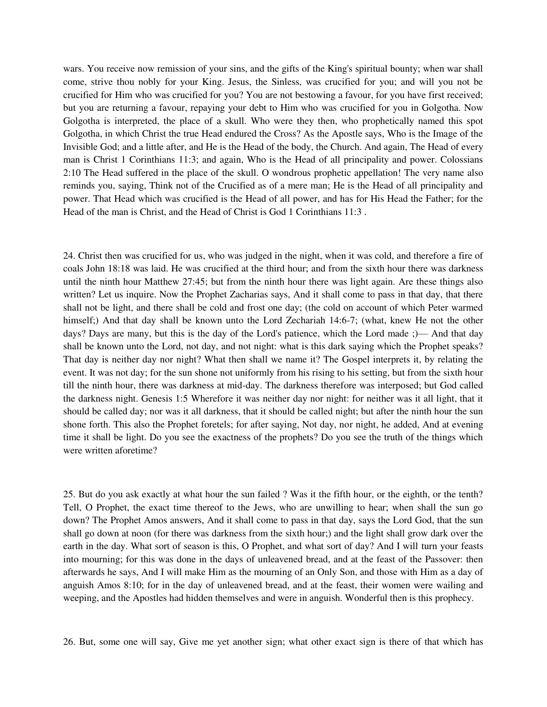wars. You receive now remission of your sins, and the gifts of the King's spiritual bounty; when war shall come, strive thou nobly for your King. Jesus, the Sinless, was crucified for you; and will you not be crucified for Him who was crucified for you? You are not bestowing a favour, for you have first received; but you are returning a favour, repaying your debt to Him who was crucified for you in Golgotha. Now Golgotha is interpreted, the place of a skull. Who were they then, who prophetically named this spot Golgotha, in which Christ the true Head endured the Cross? As the Apostle says, Who is the Image of the Invisible God; and a little after, and He is the Head of the body, the Church. And again, The Head of every man is Christ 1 Corinthians 11:3; and again, Who is the Head of all principality and power. Colossians 2:10 The Head suffered in the place of the skull. O wondrous prophetic appellation! The very name also reminds you, saying, Think not of the Crucified as of a mere man; He is the Head of all principality and power. That Head which was crucified is the Head of all power, and has for His Head the Father; for the Head of the man is Christ, and the Head of Christ is God 1 Corinthians 11:3 .

24. Christ then was crucified for us, who was judged in the night, when it was cold, and therefore a fire of coals John 18:18 was laid. He was crucified at the third hour; and from the sixth hour there was darkness until the ninth hour Matthew 27:45; but from the ninth hour there was light again. Are these things also written? Let us inquire. Now the Prophet Zacharias says, And it shall come to pass in that day, that there shall not be light, and there shall be cold and frost one day; (the cold on account of which Peter warmed himself;) And that day shall be known unto the Lord Zechariah 14:6-7; (what, knew He not the other days? Days are many, but this is the day of the Lord's patience, which the Lord made ;)— And that day shall be known unto the Lord, not day, and not night: what is this dark saying which the Prophet speaks? That day is neither day nor night? What then shall we name it? The Gospel interprets it, by relating the event. It was not day; for the sun shone not uniformly from his rising to his setting, but from the sixth hour till the ninth hour, there was darkness at mid-day. The darkness therefore was interposed; but God called the darkness night. Genesis 1:5 Wherefore it was neither day nor night: for neither was it all light, that it should be called day; nor was it all darkness, that it should be called night; but after the ninth hour the sun shone forth. This also the Prophet foretels; for after saying, Not day, nor night, he added, And at evening time it shall be light. Do you see the exactness of the prophets? Do you see the truth of the things which were written aforetime?

25. But do you ask exactly at what hour the sun failed ? Was it the fifth hour, or the eighth, or the tenth? Tell, O Prophet, the exact time thereof to the Jews, who are unwilling to hear; when shall the sun go down? The Prophet Amos answers, And it shall come to pass in that day, says the Lord God, that the sun shall go down at noon (for there was darkness from the sixth hour;) and the light shall grow dark over the earth in the day. What sort of season is this, O Prophet, and what sort of day? And I will turn your feasts into mourning; for this was done in the days of unleavened bread, and at the feast of the Passover: then afterwards he says, And I will make Him as the mourning of an Only Son, and those with Him as a day of anguish Amos 8:10; for in the day of unleavened bread, and at the feast, their women were wailing and weeping, and the Apostles had hidden themselves and were in anguish. Wonderful then is this prophecy.

26. But, some one will say, Give me yet another sign; what other exact sign is there of that which has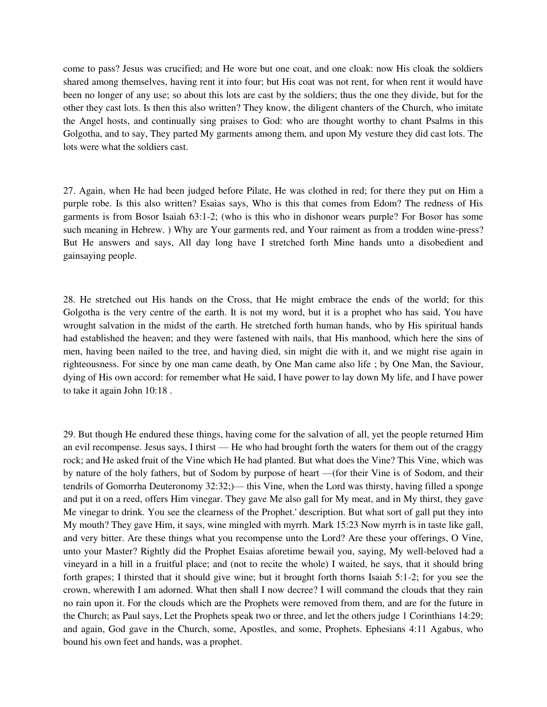come to pass? Jesus was crucified; and He wore but one coat, and one cloak: now His cloak the soldiers shared among themselves, having rent it into four; but His coat was not rent, for when rent it would have been no longer of any use; so about this lots are cast by the soldiers; thus the one they divide, but for the other they cast lots. Is then this also written? They know, the diligent chanters of the Church, who imitate the Angel hosts, and continually sing praises to God: who are thought worthy to chant Psalms in this Golgotha, and to say, They parted My garments among them, and upon My vesture they did cast lots. The lots were what the soldiers cast.

27. Again, when He had been judged before Pilate, He was clothed in red; for there they put on Him a purple robe. Is this also written? Esaias says, Who is this that comes from Edom? The redness of His garments is from Bosor Isaiah 63:1-2; (who is this who in dishonor wears purple? For Bosor has some such meaning in Hebrew. ) Why are Your garments red, and Your raiment as from a trodden wine-press? But He answers and says, All day long have I stretched forth Mine hands unto a disobedient and gainsaying people.

28. He stretched out His hands on the Cross, that He might embrace the ends of the world; for this Golgotha is the very centre of the earth. It is not my word, but it is a prophet who has said, You have wrought salvation in the midst of the earth. He stretched forth human hands, who by His spiritual hands had established the heaven; and they were fastened with nails, that His manhood, which here the sins of men, having been nailed to the tree, and having died, sin might die with it, and we might rise again in righteousness. For since by one man came death, by One Man came also life ; by One Man, the Saviour, dying of His own accord: for remember what He said, I have power to lay down My life, and I have power to take it again John 10:18 .

29. But though He endured these things, having come for the salvation of all, yet the people returned Him an evil recompense. Jesus says, I thirst — He who had brought forth the waters for them out of the craggy rock; and He asked fruit of the Vine which He had planted. But what does the Vine? This Vine, which was by nature of the holy fathers, but of Sodom by purpose of heart —(for their Vine is of Sodom, and their tendrils of Gomorrha Deuteronomy 32:32;)— this Vine, when the Lord was thirsty, having filled a sponge and put it on a reed, offers Him vinegar. They gave Me also gall for My meat, and in My thirst, they gave Me vinegar to drink. You see the clearness of the Prophet.' description. But what sort of gall put they into My mouth? They gave Him, it says, wine mingled with myrrh. Mark 15:23 Now myrrh is in taste like gall, and very bitter. Are these things what you recompense unto the Lord? Are these your offerings, O Vine, unto your Master? Rightly did the Prophet Esaias aforetime bewail you, saying, My well-beloved had a vineyard in a hill in a fruitful place; and (not to recite the whole) I waited, he says, that it should bring forth grapes; I thirsted that it should give wine; but it brought forth thorns Isaiah 5:1-2; for you see the crown, wherewith I am adorned. What then shall I now decree? I will command the clouds that they rain no rain upon it. For the clouds which are the Prophets were removed from them, and are for the future in the Church; as Paul says, Let the Prophets speak two or three, and let the others judge 1 Corinthians 14:29; and again, God gave in the Church, some, Apostles, and some, Prophets. Ephesians 4:11 Agabus, who bound his own feet and hands, was a prophet.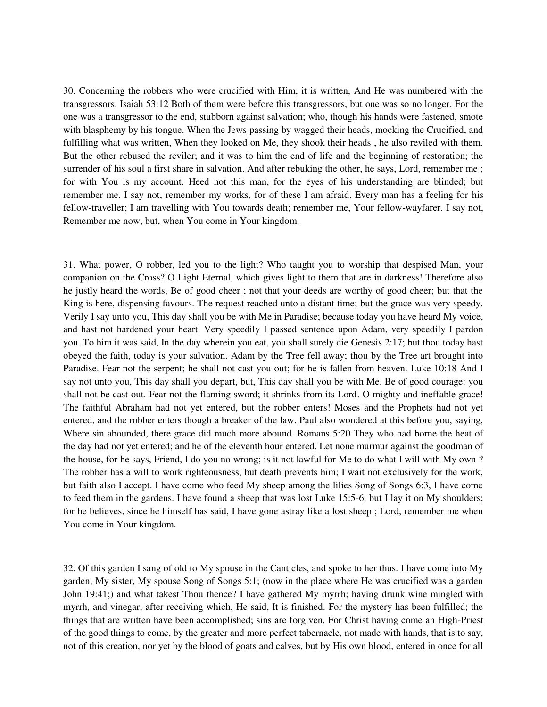30. Concerning the robbers who were crucified with Him, it is written, And He was numbered with the transgressors. Isaiah 53:12 Both of them were before this transgressors, but one was so no longer. For the one was a transgressor to the end, stubborn against salvation; who, though his hands were fastened, smote with blasphemy by his tongue. When the Jews passing by wagged their heads, mocking the Crucified, and fulfilling what was written, When they looked on Me, they shook their heads , he also reviled with them. But the other rebused the reviler; and it was to him the end of life and the beginning of restoration; the surrender of his soul a first share in salvation. And after rebuking the other, he says, Lord, remember me ; for with You is my account. Heed not this man, for the eyes of his understanding are blinded; but remember me. I say not, remember my works, for of these I am afraid. Every man has a feeling for his fellow-traveller; I am travelling with You towards death; remember me, Your fellow-wayfarer. I say not, Remember me now, but, when You come in Your kingdom.

31. What power, O robber, led you to the light? Who taught you to worship that despised Man, your companion on the Cross? O Light Eternal, which gives light to them that are in darkness! Therefore also he justly heard the words, Be of good cheer ; not that your deeds are worthy of good cheer; but that the King is here, dispensing favours. The request reached unto a distant time; but the grace was very speedy. Verily I say unto you, This day shall you be with Me in Paradise; because today you have heard My voice, and hast not hardened your heart. Very speedily I passed sentence upon Adam, very speedily I pardon you. To him it was said, In the day wherein you eat, you shall surely die Genesis 2:17; but thou today hast obeyed the faith, today is your salvation. Adam by the Tree fell away; thou by the Tree art brought into Paradise. Fear not the serpent; he shall not cast you out; for he is fallen from heaven. Luke 10:18 And I say not unto you, This day shall you depart, but, This day shall you be with Me. Be of good courage: you shall not be cast out. Fear not the flaming sword; it shrinks from its Lord. O mighty and ineffable grace! The faithful Abraham had not yet entered, but the robber enters! Moses and the Prophets had not yet entered, and the robber enters though a breaker of the law. Paul also wondered at this before you, saying, Where sin abounded, there grace did much more abound. Romans 5:20 They who had borne the heat of the day had not yet entered; and he of the eleventh hour entered. Let none murmur against the goodman of the house, for he says, Friend, I do you no wrong; is it not lawful for Me to do what I will with My own ? The robber has a will to work righteousness, but death prevents him; I wait not exclusively for the work, but faith also I accept. I have come who feed My sheep among the lilies Song of Songs 6:3, I have come to feed them in the gardens. I have found a sheep that was lost Luke 15:5-6, but I lay it on My shoulders; for he believes, since he himself has said, I have gone astray like a lost sheep ; Lord, remember me when You come in Your kingdom.

32. Of this garden I sang of old to My spouse in the Canticles, and spoke to her thus. I have come into My garden, My sister, My spouse Song of Songs 5:1; (now in the place where He was crucified was a garden John 19:41;) and what takest Thou thence? I have gathered My myrrh; having drunk wine mingled with myrrh, and vinegar, after receiving which, He said, It is finished. For the mystery has been fulfilled; the things that are written have been accomplished; sins are forgiven. For Christ having come an High-Priest of the good things to come, by the greater and more perfect tabernacle, not made with hands, that is to say, not of this creation, nor yet by the blood of goats and calves, but by His own blood, entered in once for all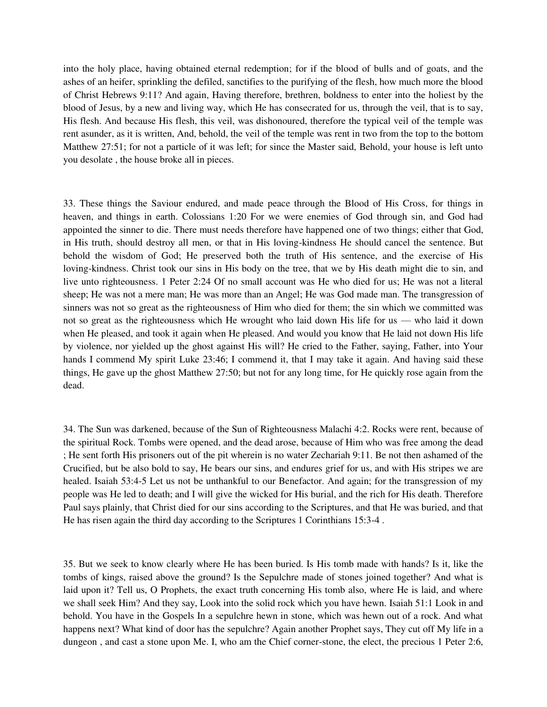into the holy place, having obtained eternal redemption; for if the blood of bulls and of goats, and the ashes of an heifer, sprinkling the defiled, sanctifies to the purifying of the flesh, how much more the blood of Christ Hebrews 9:11? And again, Having therefore, brethren, boldness to enter into the holiest by the blood of Jesus, by a new and living way, which He has consecrated for us, through the veil, that is to say, His flesh. And because His flesh, this veil, was dishonoured, therefore the typical veil of the temple was rent asunder, as it is written, And, behold, the veil of the temple was rent in two from the top to the bottom Matthew 27:51; for not a particle of it was left; for since the Master said, Behold, your house is left unto you desolate , the house broke all in pieces.

33. These things the Saviour endured, and made peace through the Blood of His Cross, for things in heaven, and things in earth. Colossians 1:20 For we were enemies of God through sin, and God had appointed the sinner to die. There must needs therefore have happened one of two things; either that God, in His truth, should destroy all men, or that in His loving-kindness He should cancel the sentence. But behold the wisdom of God; He preserved both the truth of His sentence, and the exercise of His loving-kindness. Christ took our sins in His body on the tree, that we by His death might die to sin, and live unto righteousness. 1 Peter 2:24 Of no small account was He who died for us; He was not a literal sheep; He was not a mere man; He was more than an Angel; He was God made man. The transgression of sinners was not so great as the righteousness of Him who died for them; the sin which we committed was not so great as the righteousness which He wrought who laid down His life for us — who laid it down when He pleased, and took it again when He pleased. And would you know that He laid not down His life by violence, nor yielded up the ghost against His will? He cried to the Father, saying, Father, into Your hands I commend My spirit Luke 23:46; I commend it, that I may take it again. And having said these things, He gave up the ghost Matthew 27:50; but not for any long time, for He quickly rose again from the dead.

34. The Sun was darkened, because of the Sun of Righteousness Malachi 4:2. Rocks were rent, because of the spiritual Rock. Tombs were opened, and the dead arose, because of Him who was free among the dead ; He sent forth His prisoners out of the pit wherein is no water Zechariah 9:11. Be not then ashamed of the Crucified, but be also bold to say, He bears our sins, and endures grief for us, and with His stripes we are healed. Isaiah 53:4-5 Let us not be unthankful to our Benefactor. And again; for the transgression of my people was He led to death; and I will give the wicked for His burial, and the rich for His death. Therefore Paul says plainly, that Christ died for our sins according to the Scriptures, and that He was buried, and that He has risen again the third day according to the Scriptures 1 Corinthians 15:3-4 .

35. But we seek to know clearly where He has been buried. Is His tomb made with hands? Is it, like the tombs of kings, raised above the ground? Is the Sepulchre made of stones joined together? And what is laid upon it? Tell us, O Prophets, the exact truth concerning His tomb also, where He is laid, and where we shall seek Him? And they say, Look into the solid rock which you have hewn. Isaiah 51:1 Look in and behold. You have in the Gospels In a sepulchre hewn in stone, which was hewn out of a rock. And what happens next? What kind of door has the sepulchre? Again another Prophet says, They cut off My life in a dungeon , and cast a stone upon Me. I, who am the Chief corner-stone, the elect, the precious 1 Peter 2:6,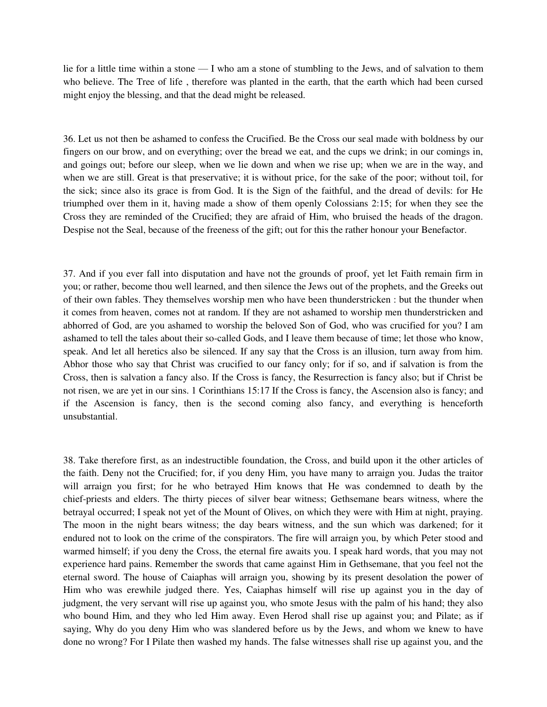lie for a little time within a stone — I who am a stone of stumbling to the Jews, and of salvation to them who believe. The Tree of life , therefore was planted in the earth, that the earth which had been cursed might enjoy the blessing, and that the dead might be released.

36. Let us not then be ashamed to confess the Crucified. Be the Cross our seal made with boldness by our fingers on our brow, and on everything; over the bread we eat, and the cups we drink; in our comings in, and goings out; before our sleep, when we lie down and when we rise up; when we are in the way, and when we are still. Great is that preservative; it is without price, for the sake of the poor; without toil, for the sick; since also its grace is from God. It is the Sign of the faithful, and the dread of devils: for He triumphed over them in it, having made a show of them openly Colossians 2:15; for when they see the Cross they are reminded of the Crucified; they are afraid of Him, who bruised the heads of the dragon. Despise not the Seal, because of the freeness of the gift; out for this the rather honour your Benefactor.

37. And if you ever fall into disputation and have not the grounds of proof, yet let Faith remain firm in you; or rather, become thou well learned, and then silence the Jews out of the prophets, and the Greeks out of their own fables. They themselves worship men who have been thunderstricken : but the thunder when it comes from heaven, comes not at random. If they are not ashamed to worship men thunderstricken and abhorred of God, are you ashamed to worship the beloved Son of God, who was crucified for you? I am ashamed to tell the tales about their so-called Gods, and I leave them because of time; let those who know, speak. And let all heretics also be silenced. If any say that the Cross is an illusion, turn away from him. Abhor those who say that Christ was crucified to our fancy only; for if so, and if salvation is from the Cross, then is salvation a fancy also. If the Cross is fancy, the Resurrection is fancy also; but if Christ be not risen, we are yet in our sins. 1 Corinthians 15:17 If the Cross is fancy, the Ascension also is fancy; and if the Ascension is fancy, then is the second coming also fancy, and everything is henceforth unsubstantial.

38. Take therefore first, as an indestructible foundation, the Cross, and build upon it the other articles of the faith. Deny not the Crucified; for, if you deny Him, you have many to arraign you. Judas the traitor will arraign you first; for he who betrayed Him knows that He was condemned to death by the chief-priests and elders. The thirty pieces of silver bear witness; Gethsemane bears witness, where the betrayal occurred; I speak not yet of the Mount of Olives, on which they were with Him at night, praying. The moon in the night bears witness; the day bears witness, and the sun which was darkened; for it endured not to look on the crime of the conspirators. The fire will arraign you, by which Peter stood and warmed himself; if you deny the Cross, the eternal fire awaits you. I speak hard words, that you may not experience hard pains. Remember the swords that came against Him in Gethsemane, that you feel not the eternal sword. The house of Caiaphas will arraign you, showing by its present desolation the power of Him who was erewhile judged there. Yes, Caiaphas himself will rise up against you in the day of judgment, the very servant will rise up against you, who smote Jesus with the palm of his hand; they also who bound Him, and they who led Him away. Even Herod shall rise up against you; and Pilate; as if saying, Why do you deny Him who was slandered before us by the Jews, and whom we knew to have done no wrong? For I Pilate then washed my hands. The false witnesses shall rise up against you, and the